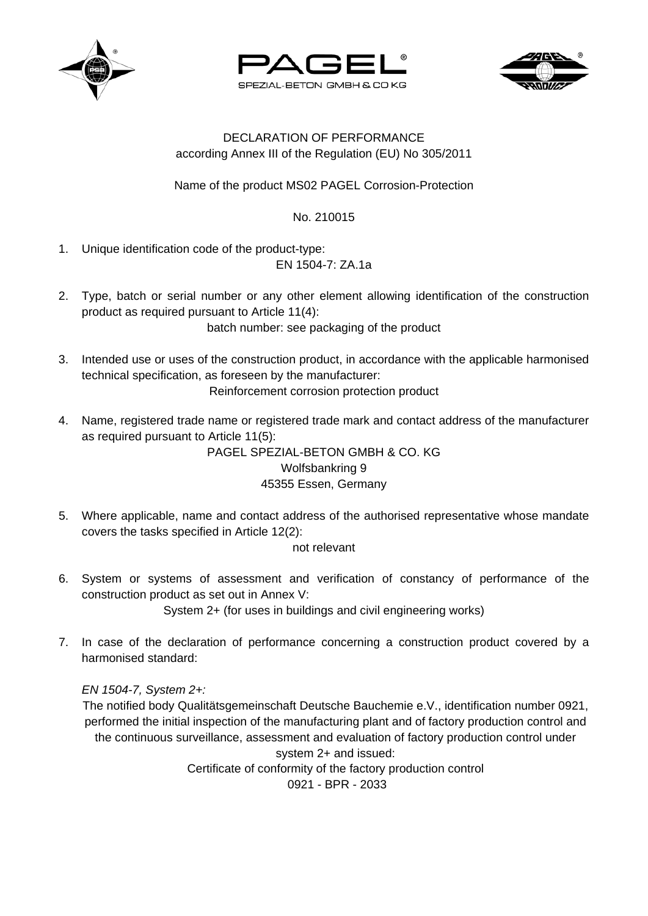





## DECLARATION OF PERFORMANCE according Annex III of the Regulation (EU) No 305/2011

Name of the product MS02 PAGEL Corrosion-Protection

No. 210015

1. Unique identification code of the product-type:

EN 1504-7: ZA.1a

- 2. Type, batch or serial number or any other element allowing identification of the construction product as required pursuant to Article 11(4): batch number: see packaging of the product
- 3. Intended use or uses of the construction product, in accordance with the applicable harmonised technical specification, as foreseen by the manufacturer: Reinforcement corrosion protection product
- 4. Name, registered trade name or registered trade mark and contact address of the manufacturer as required pursuant to Article 11(5):

PAGEL SPEZIAL-BETON GMBH & CO. KG Wolfsbankring 9 45355 Essen, Germany

5. Where applicable, name and contact address of the authorised representative whose mandate covers the tasks specified in Article 12(2):

not relevant

- 6. System or systems of assessment and verification of constancy of performance of the construction product as set out in Annex V: System 2+ (for uses in buildings and civil engineering works)
- 7. In case of the declaration of performance concerning a construction product covered by a harmonised standard:

*EN 1504-7, System 2+:*

The notified body Qualitätsgemeinschaft Deutsche Bauchemie e.V., identification number 0921, performed the initial inspection of the manufacturing plant and of factory production control and the continuous surveillance, assessment and evaluation of factory production control under system 2+ and issued: Certificate of conformity of the factory production control 0921 - BPR - 2033